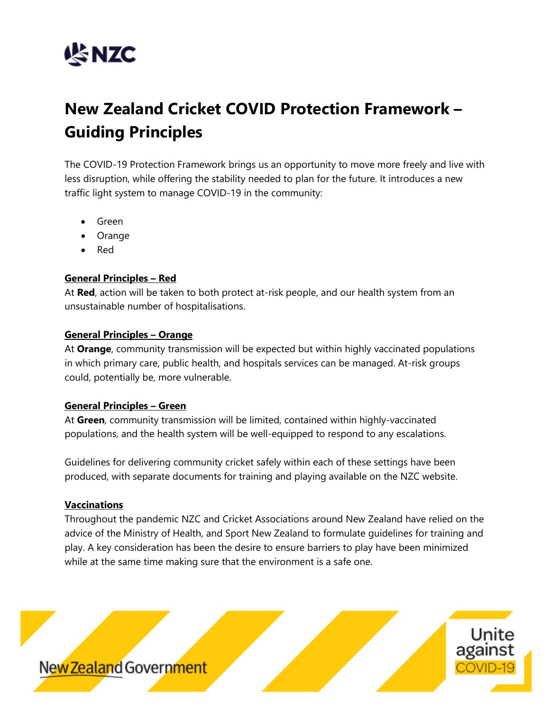

# **New Zealand Cricket COVID Protection Framework – Guiding Principles**

The COVID-19 Protection Framework brings us an opportunity to move more freely and live with less disruption, while offering the stability needed to plan for the future. It introduces a new traffic light system to manage COVID-19 in the community:

- Green
- Orange
- Red

## **General Principles – Red**

At **Red**, action will be taken to both protect at-risk people, and our health system from an unsustainable number of hospitalisations.

### **General Principles – Orange**

At **Orange**, community transmission will be expected but within highly vaccinated populations in which primary care, public health, and hospitals services can be managed. At-risk groups could, potentially be, more vulnerable.

### **General Principles – Green**

At **Green**, community transmission will be limited, contained within highly-vaccinated populations, and the health system will be well-equipped to respond to any escalations.

Guidelines for delivering community cricket safely within each of these settings have been produced, with separate documents for training and playing available on the NZC website.

### **Vaccinations**

Throughout the pandemic NZC and Cricket Associations around New Zealand have relied on the advice of the Ministry of Health, and Sport New Zealand to formulate guidelines for training and play. A key consideration has been the desire to ensure barriers to play have been minimized while at the same time making sure that the environment is a safe one.